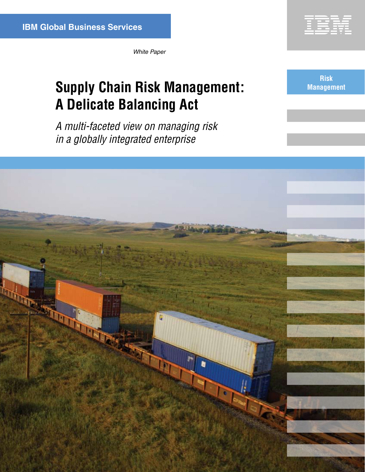

*White Paper*

# **Supply Chain Risk Management:** Management **A Delicate Balancing Act**

**Risk**

*A multi-faceted view on managing risk in a globally integrated enterprise*

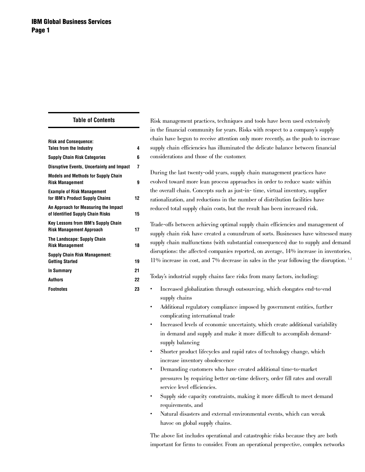|  | <b>Table of Contents</b> |  |
|--|--------------------------|--|
|  |                          |  |

| <b>Risk and Consequence:</b>                                                  |    |
|-------------------------------------------------------------------------------|----|
| <b>Tales from the Industry</b>                                                | 4  |
| <b>Supply Chain Risk Categories</b>                                           | 6  |
| <b>Disruptive Events, Uncertainty and Impact</b>                              | 7  |
| <b>Models and Methods for Supply Chain</b><br><b>Risk Management</b>          | g  |
| <b>Example of Risk Management</b><br>for IBM's Product Supply Chains          | 12 |
| An Approach for Measuring the Impact<br>of Identified Supply Chain Risks      | 15 |
| <b>Key Lessons from IBM's Supply Chain</b><br><b>Risk Management Approach</b> | 17 |
| The Landscape: Supply Chain<br><b>Risk Management</b>                         | 18 |
| <b>Supply Chain Risk Management:</b><br><b>Getting Started</b>                | 19 |
| <b>In Summary</b>                                                             | 21 |
| <b>Authors</b>                                                                | 22 |
| <b>Footnotes</b>                                                              | 23 |

Risk management practices, techniques and tools have been used extensively in the financial community for years. Risks with respect to a company's supply chain have begun to receive attention only more recently, as the push to increase supply chain efficiencies has illuminated the delicate balance between financial considerations and those of the customer.

During the last twenty-odd years, supply chain management practices have evolved toward more lean process approaches in order to reduce waste within the overall chain. Concepts such as just-in- time, virtual inventory, supplier rationalization, and reductions in the number of distribution facilities have reduced total supply chain costs, but the result has been increased risk.

Trade-offs between achieving optimal supply chain efficiencies and management of supply chain risk have created a conundrum of sorts. Businesses have witnessed many supply chain malfunctions (with substantial consequences) due to supply and demand disruptions: the affected companies reported, on average, 14% increase in inventories,  $11\%$  increase in cost, and 7% decrease in sales in the year following the disruption.  $12$ 

Today's industrial supply chains face risks from many factors, including:

- Increased globalization through outsourcing, which elongates end-to-end supply chains
	- Additional regulatory compliance imposed by government entities, further complicating international trade
	- Increased levels of economic uncertainty, which create additional variability in demand and supply and make it more difficult to accomplish demandsupply balancing
	- Shorter product lifecycles and rapid rates of technology change, which increase inventory obsolescence
	- Demanding customers who have created additional time-to-market pressures by requiring better on-time delivery, order fill rates and overall service level efficiencies.
	- Supply side capacity constraints, making it more difficult to meet demand requirements, and
	- Natural disasters and external environmental events, which can wreak havoc on global supply chains.

The above list includes operational and catastrophic risks because they are both important for firms to consider. From an operational perspective, complex networks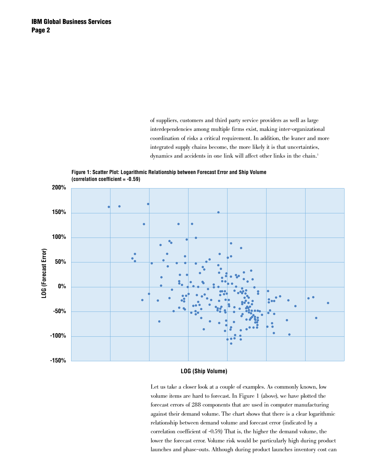of suppliers, customers and third party service providers as well as large interdependencies among multiple firms exist, making inter-organizational coordination of risks a critical requirement. In addition, the leaner and more integrated supply chains become, the more likely it is that uncertainties, dynamics and accidents in one link will affect other links in the chain.<sup>3</sup>





# **LOG (Ship Volume)**

Let us take a closer look at a couple of examples. As commonly known, low volume items are hard to forecast. In Figure 1 (above), we have plotted the forecast errors of 288 components that are used in computer manufacturing against their demand volume. The chart shows that there is a clear logarithmic relationship between demand volume and forecast error (indicated by a correlation coefficient of -0.59.) That is, the higher the demand volume, the lower the forecast error. Volume risk would be particularly high during product launches and phase-outs. Although during product launches inventory cost can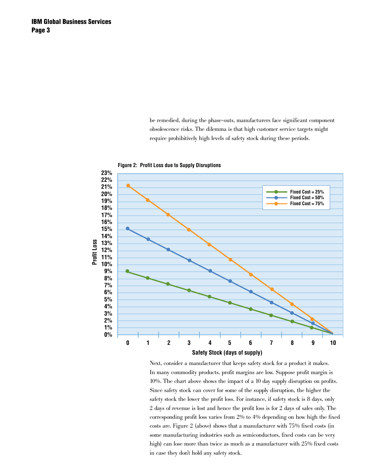be remedied, during the phase-outs, manufacturers face significant component obsolescence risks. The dilemma is that high customer service targets might require prohibitively high levels of safety stock during these periods.



**Figure 2: Profit Loss due to Supply Disruptions**

Next, consider a manufacturer that keeps safety stock for a product it makes. In many commodity products, profit margins are low. Suppose profit margin is 10%. The chart above shows the impact of a 10 day supply disruption on profits. Since safety stock can cover for some of the supply disruption, the higher the safety stock the lower the profit loss. For instance, if safety stock is 8 days, only 2 days of revenue is lost and hence the profit loss is for 2 days of sales only. The corresponding profit loss varies from 2% to 4% depending on how high the fixed costs are. Figure 2 (above) shows that a manufacturer with 75% fixed costs (in some manufacturing industries such as semiconductors, fixed costs can be very high) can lose more than twice as much as a manufacturer with 25% fixed costs in case they don't hold any safety stock.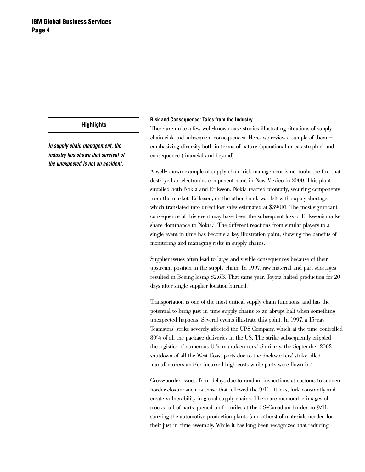*In supply chain management, the industry has shown that survival of the unexpected is not an accident.* 

#### **Risk and Consequence: Tales from the Industry**

There are quite a few well-known case studies illustrating situations of supply chain risk and subsequent consequences. Here, we review a sample of them emphasizing diversity both in terms of nature (operational or catastrophic) and consequence (financial and beyond).

A well-known example of supply chain risk management is no doubt the fire that destroyed an electronics component plant in New Mexico in 2000. This plant supplied both Nokia and Eriksson. Nokia reacted promptly, securing components from the market. Eriksson, on the other hand, was left with supply shortages which translated into direct lost sales estimated at \$390M. The most significant consequence of this event may have been the subsequent loss of Eriksson's market share dominance to Nokia.<sup>4</sup> The different reactions from similar players to a single event in time has become a key illustration point, showing the benefits of monitoring and managing risks in supply chains.

Supplier issues often lead to large and visible consequences because of their upstream position in the supply chain. In 1997, raw material and part shortages resulted in Boeing losing \$2.6B. That same year, Toyota halted production for 20 days after single supplier location burned.<sup>5</sup>

Transportation is one of the most critical supply chain functions, and has the potential to bring just-in-time supply chains to an abrupt halt when something unexpected happens. Several events illustrate this point. In 1997, a 15-day Teamsters' strike severely affected the UPS Company, which at the time controlled 80% of all the package deliveries in the US. The strike subsequently crippled the logistics of numerous U.S. manufacturers.<sup>6</sup> Similarly, the September 2002 shutdown of all the West Coast ports due to the dockworkers' strike idled manufacturers and/or incurred high costs while parts were flown in.<sup>7</sup>

Cross-border issues, from delays due to random inspections at customs to sudden border closure such as those that followed the 9/11 attacks, lurk constantly and create vulnerability in global supply chains. There are memorable images of trucks full of parts queued up for miles at the US-Canadian border on 9/11, starving the automotive production plants (and others) of materials needed for their just-in-time assembly. While it has long been recognized that reducing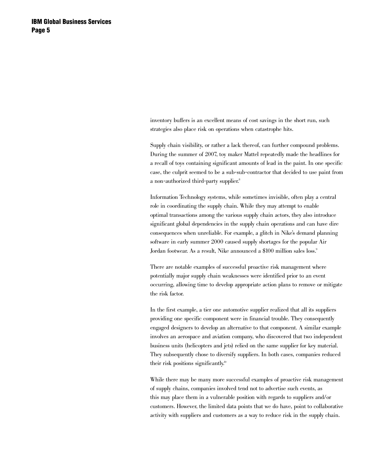inventory buffers is an excellent means of cost savings in the short run, such strategies also place risk on operations when catastrophe hits.

Supply chain visibility, or rather a lack thereof, can further compound problems. During the summer of 2007, toy maker Mattel repeatedly made the headlines for a recall of toys containing significant amounts of lead in the paint. In one specific case, the culprit seemed to be a sub-sub-contractor that decided to use paint from a non-authorized third-party supplier.<sup>8</sup>

Information Technology systems, while sometimes invisible, often play a central role in coordinating the supply chain. While they may attempt to enable optimal transactions among the various supply chain actors, they also introduce significant global dependencies in the supply chain operations and can have dire consequences when unreliable. For example, a glitch in Nike's demand planning software in early summer 2000 caused supply shortages for the popular Air Jordan footwear. As a result, Nike announced a \$100 million sales loss.<sup>9</sup>

There are notable examples of successful proactive risk management where potentially major supply chain weaknesses were identified prior to an event occurring, allowing time to develop appropriate action plans to remove or mitigate the risk factor.

In the first example, a tier one automotive supplier realized that all its suppliers providing one specific component were in financial trouble. They consequently engaged designers to develop an alternative to that component. A similar example involves an aerospace and aviation company, who discovered that two independent business units (helicopters and jets) relied on the same supplier for key material. They subsequently chose to diversify suppliers. In both cases, companies reduced their risk positions significantly.<sup>10</sup>

While there may be many more successful examples of proactive risk management of supply chains, companies involved tend not to advertise such events, as this may place them in a vulnerable position with regards to suppliers and/or customers. However, the limited data points that we do have, point to collaborative activity with suppliers and customers as a way to reduce risk in the supply chain.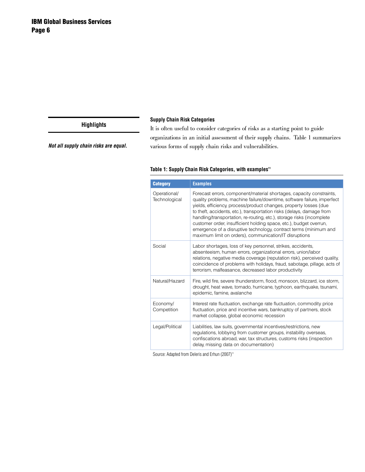## **Supply Chain Risk Categories**

*Not all supply chain risks are equal.* 

It is often useful to consider categories of risks as a starting point to guide organizations in an initial assessment of their supply chains. Table 1 summarizes various forms of supply chain risks and vulnerabilities.

# Table 1: Supply Chain Risk Categories, with examples<sup>11</sup>

| <b>Category</b>               | <b>Examples</b>                                                                                                                                                                                                                                                                                                                                                                                                                                                                                                                                                             |
|-------------------------------|-----------------------------------------------------------------------------------------------------------------------------------------------------------------------------------------------------------------------------------------------------------------------------------------------------------------------------------------------------------------------------------------------------------------------------------------------------------------------------------------------------------------------------------------------------------------------------|
| Operational/<br>Technological | Forecast errors, component/material shortages, capacity constraints,<br>quality problems, machine failure/downtime, software failure, imperfect<br>yields, efficiency, process/product changes, property losses (due<br>to theft, accidents, etc.), transportation risks (delays, damage from<br>handling/transportation, re-routing, etc.), storage risks (incomplete<br>customer order, insufficient holding space, etc.), budget overrun,<br>emergence of a disruptive technology, contract terms (minimum and<br>maximum limit on orders), communication/IT disruptions |
| Social                        | Labor shortages, loss of key personnel, strikes, accidents,<br>absenteeism, human errors, organizational errors, union/labor<br>relations, negative media coverage (reputation risk), perceived quality,<br>coincidence of problems with holidays, fraud, sabotage, pillage, acts of<br>terrorism, malfeasance, decreased labor productivity                                                                                                                                                                                                                                |
| Natural/Hazard                | Fire, wild fire, severe thunderstorm, flood, monsoon, blizzard, ice storm,<br>drought, heat wave, tornado, hurricane, typhoon, earthquake, tsunami,<br>epidemic, famine, avalanche                                                                                                                                                                                                                                                                                                                                                                                          |
| Economy/<br>Competition       | Interest rate fluctuation, exchange rate fluctuation, commodity price<br>fluctuation, price and incentive wars, bankruptcy of partners, stock<br>market collapse, global economic recession                                                                                                                                                                                                                                                                                                                                                                                 |
| Legal/Political               | Liabilities, law suits, governmental incentives/restrictions, new<br>regulations, lobbying from customer groups, instability overseas,<br>confiscations abroad, war, tax structures, customs risks (inspection<br>delay, missing data on documentation)                                                                                                                                                                                                                                                                                                                     |

Source: Adapted from Deleris and Erhun (2007)<sup>11</sup>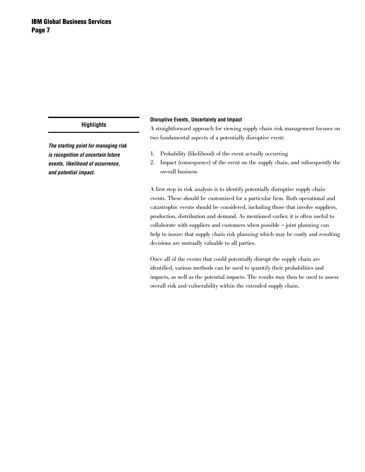*The starting point for managing risk is recognition of uncertain future events, likelihood of occurrence, and potential impact.* 

### **Disruptive Events, Uncertainty and Impact**

A straightforward approach for viewing supply chain risk management focuses on two fundamental aspects of a potentially disruptive event:

- 1. Probability (likelihood) of the event actually occurring
- 2. Impact (consequence) of the event on the supply chain, and subsequently the overall business

A first step in risk analysis is to identify potentially disruptive supply chain events. These should be customized for a particular firm. Both operational and catastrophic events should be considered, including those that involve suppliers, production, distribution and demand. As mentioned earlier, it is often useful to collaborate with suppliers and customers when possible – joint planning can help to insure that supply chain risk planning which may be costly and resulting decisions are mutually valuable to all parties.

Once all of the events that could potentially disrupt the supply chain are identified, various methods can be used to quantify their probabilities and impacts, as well as the potential impacts. The results may then be used to assess overall risk and vulnerability within the extended supply chain.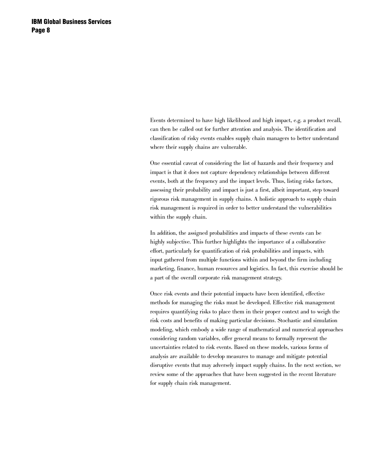Events determined to have high likelihood and high impact, e.g. a product recall, can then be called out for further attention and analysis. The identification and classification of risky events enables supply chain managers to better understand where their supply chains are vulnerable.

One essential caveat of considering the list of hazards and their frequency and impact is that it does not capture dependency relationships between different events, both at the frequency and the impact levels. Thus, listing risks factors, assessing their probability and impact is just a first, albeit important, step toward rigorous risk management in supply chains. A holistic approach to supply chain risk management is required in order to better understand the vulnerabilities within the supply chain.

In addition, the assigned probabilities and impacts of these events can be highly subjective. This further highlights the importance of a collaborative effort, particularly for quantification of risk probabilities and impacts, with input gathered from multiple functions within and beyond the firm including marketing, finance, human resources and logistics. In fact, this exercise should be a part of the overall corporate risk management strategy.

Once risk events and their potential impacts have been identified, effective methods for managing the risks must be developed. Effective risk management requires quantifying risks to place them in their proper context and to weigh the risk costs and benefits of making particular decisions. Stochastic and simulation modeling, which embody a wide range of mathematical and numerical approaches considering random variables, offer general means to formally represent the uncertainties related to risk events. Based on these models, various forms of analysis are available to develop measures to manage and mitigate potential disruptive events that may adversely impact supply chains. In the next section, we review some of the approaches that have been suggested in the recent literature for supply chain risk management.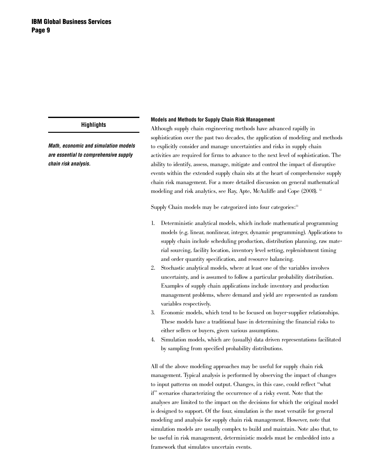*Math, economic and simulation models are essential to comprehensive supply chain risk analysis.* 

#### **Models and Methods for Supply Chain Risk Management**

Although supply chain engineering methods have advanced rapidly in sophistication over the past two decades, the application of modeling and methods to explicitly consider and manage uncertainties and risks in supply chain activities are required for firms to advance to the next level of sophistication. The ability to identify, assess, manage, mitigate and control the impact of disruptive events within the extended supply chain sits at the heart of comprehensive supply chain risk management. For a more detailed discussion on general mathematical modeling and risk analytics, see Ray, Apte, McAuliffe and Cope (2008). 12

Supply Chain models may be categorized into four categories:<sup>13</sup>

- 1. Deterministic analytical models, which include mathematical programming models (e.g. linear, nonlinear, integer, dynamic programming). Applications to supply chain include scheduling production, distribution planning, raw material sourcing, facility location, inventory level setting, replenishment timing and order quantity specification, and resource balancing.
- 2. Stochastic analytical models, where at least one of the variables involves uncertainty, and is assumed to follow a particular probability distribution. Examples of supply chain applications include inventory and production management problems, where demand and yield are represented as random variables respectively.
- 3. Economic models, which tend to be focused on buyer-supplier relationships. These models have a traditional base in determining the financial risks to either sellers or buyers, given various assumptions.
- Simulation models, which are (usually) data driven representations facilitated by sampling from specified probability distributions.

All of the above modeling approaches may be useful for supply chain risk management. Typical analysis is performed by observing the impact of changes to input patterns on model output. Changes, in this case, could reflect "what if" scenarios characterizing the occurrence of a risky event. Note that the analyses are limited to the impact on the decisions for which the original model is designed to support. Of the four, simulation is the most versatile for general modeling and analysis for supply chain risk management. However, note that simulation models are usually complex to build and maintain. Note also that, to be useful in risk management, deterministic models must be embedded into a framework that simulates uncertain events.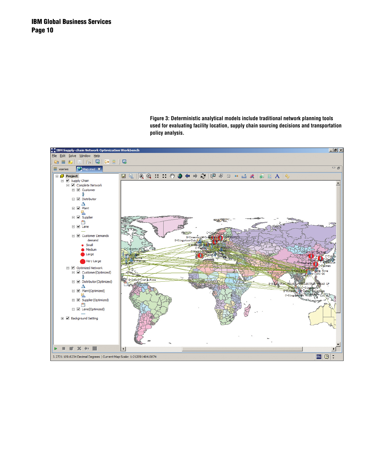**Figure 3: Deterministic analytical models include traditional network planning tools used for evaluating facility location, supply chain sourcing decisions and transportation policy analysis.**

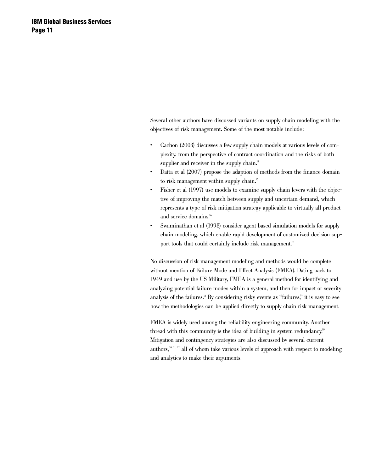Several other authors have discussed variants on supply chain modeling with the objectives of risk management. Some of the most notable include:

- Cachon (2003) discusses a few supply chain models at various levels of complexity, from the perspective of contract coordination and the risks of both supplier and receiver in the supply chain.<sup>14</sup>
- Datta et al  $(2007)$  propose the adaption of methods from the finance domain to risk management within supply chain.<sup>15</sup>
- Fisher et al (1997) use models to examine supply chain levers with the objective of improving the match between supply and uncertain demand, which represents a type of risk mitigation strategy applicable to virtually all product and service domains.<sup>16</sup>
- Swaminathan et al (1998) consider agent based simulation models for supply chain modeling, which enable rapid development of customized decision support tools that could certainly include risk management.<sup>17</sup>

No discussion of risk management modeling and methods would be complete without mention of Failure Mode and Effect Analysis (FMEA). Dating back to 1949 and use by the US Military, FMEA is a general method for identifying and analyzing potential failure modes within a system, and then for impact or severity analysis of the failures.18 By considering risky events as "failures," it is easy to see how the methodologies can be applied directly to supply chain risk management.

FMEA is widely used among the reliability engineering community. Another thread with this community is the idea of building in system redundancy.<sup>19</sup> Mitigation and contingency strategies are also discussed by several current authors, $20, 21, 22$  all of whom take various levels of approach with respect to modeling and analytics to make their arguments.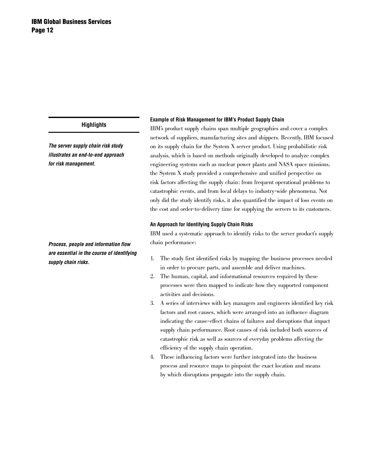*The server supply chain risk study illustrates an end-to-end approach for risk management.*

*Process, people and information flow are essential in the course of identifying supply chain risks.* 

#### **Example of Risk Management for IBM's Product Supply Chain**

IBM's product supply chains span multiple geographies and cover a complex network of suppliers, manufacturing sites and shippers. Recently, IBM focused on its supply chain for the System X server product. Using probabilistic risk analysis, which is based on methods originally developed to analyze complex engineering systems such as nuclear power plants and NASA space missions, the System X study provided a comprehensive and unified perspective on risk factors affecting the supply chain: from frequent operational problems to catastrophic events, and from local delays to industry-wide phenomena. Not only did the study identify risks, it also quantified the impact of loss events on the cost and order-to-delivery time for supplying the servers to its customers.

#### **An Approach for Identifying Supply Chain Risks**

IBM used a systematic approach to identify risks to the server product's supply chain performance:

- 1. The study first identified risks by mapping the business processes needed in order to procure parts, and assemble and deliver machines.
- 2. The human, capital, and informational resources required by these processes were then mapped to indicate how they supported component activities and decisions.
- 3. A series of interviews with key managers and engineers identified key risk factors and root causes, which were arranged into an influence diagram indicating the cause-effect chains of failures and disruptions that impact supply chain performance. Root causes of risk included both sources of catastrophic risk as well as sources of everyday problems affecting the efficiency of the supply chain operation.
- 4. These influencing factors were further integrated into the business process and resource maps to pinpoint the exact location and means by which disruptions propagate into the supply chain.